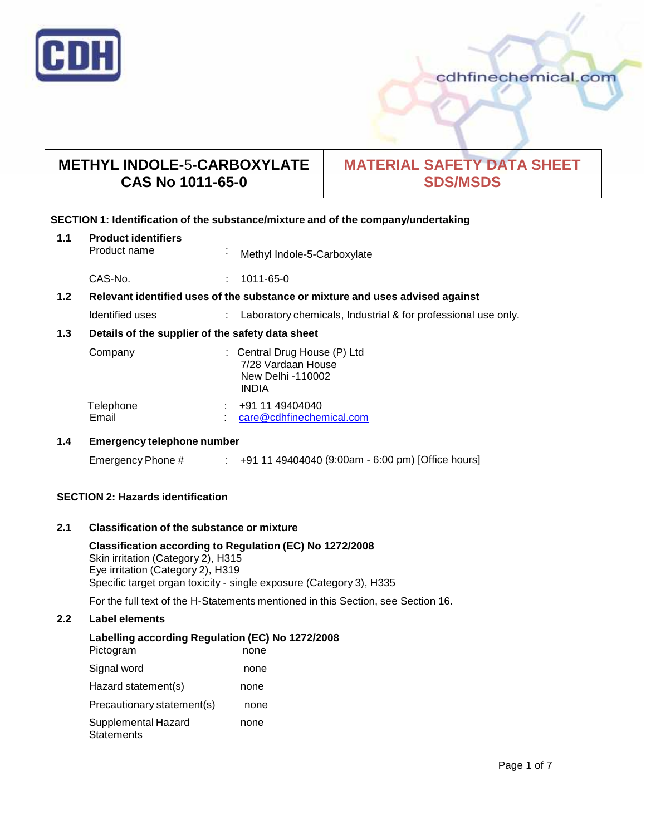

# **METHYL INDOLE-**5**-CARBOXYLATE CAS No 1011-65-0**

# **MATERIAL SAFETY DATA SHEET SDS/MSDS**

# **SECTION 1: Identification of the substance/mixture and of the company/undertaking**

| 1.1                                                     | <b>Product identifiers</b><br>Product name                                    |  | Methyl Indole-5-Carboxylate                                                             |  |
|---------------------------------------------------------|-------------------------------------------------------------------------------|--|-----------------------------------------------------------------------------------------|--|
|                                                         | CAS-No.                                                                       |  | 1011-65-0                                                                               |  |
| 1.2 <sub>2</sub>                                        | Relevant identified uses of the substance or mixture and uses advised against |  |                                                                                         |  |
|                                                         | Identified uses                                                               |  | Laboratory chemicals, Industrial & for professional use only.                           |  |
| 1.3<br>Details of the supplier of the safety data sheet |                                                                               |  |                                                                                         |  |
|                                                         | Company                                                                       |  | : Central Drug House (P) Ltd<br>7/28 Vardaan House<br>New Delhi -110002<br><b>INDIA</b> |  |
|                                                         | Telephone<br>Email                                                            |  | +91 11 49404040<br>care@cdhfinechemical.com                                             |  |
|                                                         |                                                                               |  |                                                                                         |  |

# **1.4 Emergency telephone number**

| Emergency Phone # |  | +91 11 49404040 (9:00am - 6:00 pm) [Office hours] |
|-------------------|--|---------------------------------------------------|
|-------------------|--|---------------------------------------------------|

# **SECTION 2: Hazards identification**

# **2.1 Classification of the substance ormixture**

**Classification according to Regulation (EC) No 1272/2008** Skin irritation (Category 2), H315 Eye irritation (Category 2), H319 Specific target organ toxicity - single exposure (Category 3), H335

For the full text of the H-Statements mentioned in this Section, see Section 16.

# **2.2 Label elements**

# **Labelling according Regulation (EC) No 1272/2008**

| Pictogram                                | none |  |
|------------------------------------------|------|--|
| Signal word                              | none |  |
| Hazard statement(s)                      | none |  |
| Precautionary statement(s)               | none |  |
| Supplemental Hazard<br><b>Statements</b> | none |  |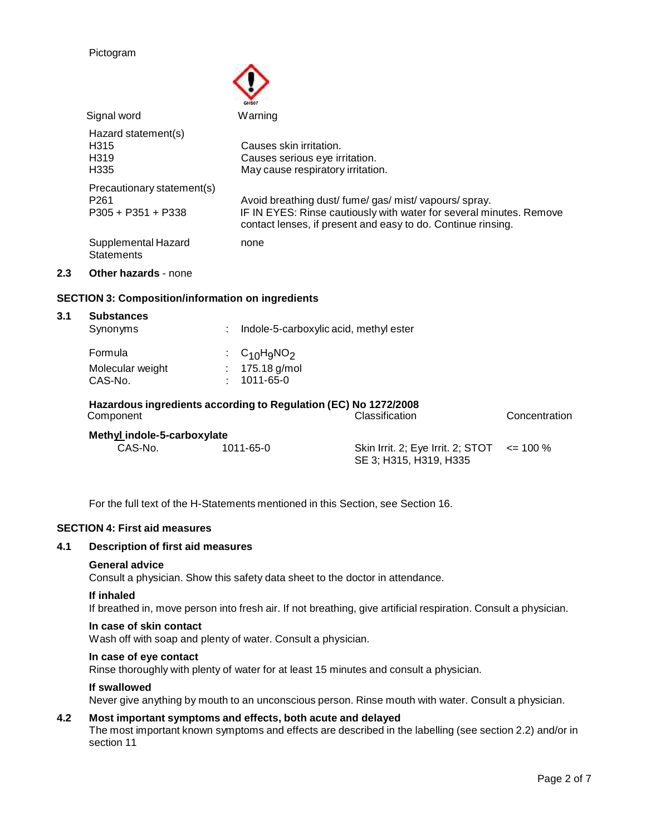#### Pictogram

|     |                                                                        | GHS07                                                                                                                                                                                    |
|-----|------------------------------------------------------------------------|------------------------------------------------------------------------------------------------------------------------------------------------------------------------------------------|
|     | Signal word                                                            | Warning                                                                                                                                                                                  |
|     | Hazard statement(s)<br>H <sub>315</sub><br>H <sub>319</sub><br>H335    | Causes skin irritation.<br>Causes serious eye irritation.<br>May cause respiratory irritation.                                                                                           |
|     | Precautionary statement(s)<br>P <sub>261</sub><br>$P305 + P351 + P338$ | Avoid breathing dust/fume/gas/mist/vapours/spray.<br>IF IN EYES: Rinse cautiously with water for several minutes. Remove<br>contact lenses, if present and easy to do. Continue rinsing. |
|     | Supplemental Hazard<br><b>Statements</b>                               | none                                                                                                                                                                                     |
| 2.3 | Other hazards - none                                                   |                                                                                                                                                                                          |

# **SECTION 3: Composition/information on ingredients**

|         | <b>Substances</b><br>Synonyms | ٠ |                 | Indole-5-carboxylic acid, methyl ester                                            |               |
|---------|-------------------------------|---|-----------------|-----------------------------------------------------------------------------------|---------------|
| Formula |                               |   | $C_{10}H_9NO_2$ |                                                                                   |               |
|         | Molecular weight              |   | 175.18 g/mol    |                                                                                   |               |
| CAS-No. |                               |   | 1011-65-0       |                                                                                   |               |
|         | Component                     |   |                 | Hazardous ingredients according to Regulation (EC) No 1272/2008<br>Classification | Concentration |
|         | Methyl indole-5-carboxylate   |   |                 |                                                                                   |               |
|         | CAS-No.                       |   | 1011-65-0       | Skin Irrit. 2; Eye Irrit. 2; STOT $\le$ = 100 %                                   |               |

SE 3; H315, H319, H335

For the full text of the H-Statements mentioned in this Section, see Section 16.

#### **SECTION 4: First aid measures**

#### **4.1 Description of first aid measures**

#### **General advice**

Consult a physician. Show this safety data sheet to the doctor in attendance.

#### **If inhaled**

If breathed in, move person into fresh air. If not breathing, give artificial respiration. Consult a physician.

#### **In case of skin contact**

Wash off with soap and plenty of water. Consult a physician.

# **In case of eye contact**

Rinse thoroughly with plenty of water for at least 15 minutes and consult a physician.

#### **If swallowed**

Never give anything by mouth to an unconscious person. Rinse mouth with water. Consult a physician.

# **4.2 Most important symptoms and effects, both acute and delayed**

The most important known symptoms and effects are described in the labelling (see section 2.2) and/or in section 11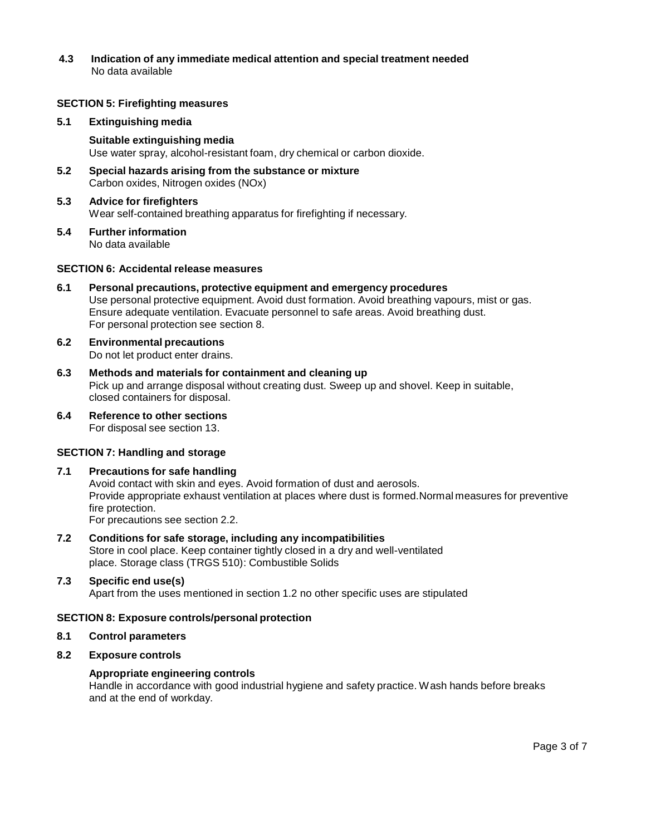**4.3 Indication of any immediate medical attention and special treatment needed** No data available

# **SECTION 5: Firefighting measures**

#### **5.1 Extinguishing media**

#### **Suitable extinguishing media**

Use water spray, alcohol-resistant foam, dry chemical or carbon dioxide.

**5.2 Special hazards arising from the substance ormixture** Carbon oxides, Nitrogen oxides (NOx)

# **5.3 Advice for firefighters**

Wear self-contained breathing apparatus for firefighting if necessary.

**5.4 Further information** No data available

#### **SECTION 6: Accidental release measures**

- **6.1 Personal precautions, protective equipment and emergency procedures** Use personal protective equipment. Avoid dust formation. Avoid breathing vapours, mist or gas. Ensure adequate ventilation. Evacuate personnel to safe areas. Avoid breathing dust. For personal protection see section 8.
- **6.2 Environmental precautions** Do not let product enter drains.
- **6.3 Methods and materials for containment and cleaning up** Pick up and arrange disposal without creating dust. Sweep up and shovel. Keep in suitable, closed containers for disposal.
- **6.4 Reference to other sections** For disposal see section 13.

# **SECTION 7: Handling and storage**

#### **7.1 Precautions for safe handling**

Avoid contact with skin and eyes. Avoid formation of dust and aerosols. Provide appropriate exhaust ventilation at places where dust is formed.Normal measures for preventive fire protection. For precautions see section 2.2.

**7.2 Conditions for safe storage, including any incompatibilities** Store in cool place. Keep container tightly closed in a dry and well-ventilated place. Storage class (TRGS 510): Combustible Solids

# **7.3 Specific end use(s)**

Apart from the uses mentioned in section 1.2 no other specific uses are stipulated

#### **SECTION 8: Exposure controls/personal protection**

#### **8.1 Control parameters**

# **8.2 Exposure controls**

#### **Appropriate engineering controls**

Handle in accordance with good industrial hygiene and safety practice. Wash hands before breaks and at the end of workday.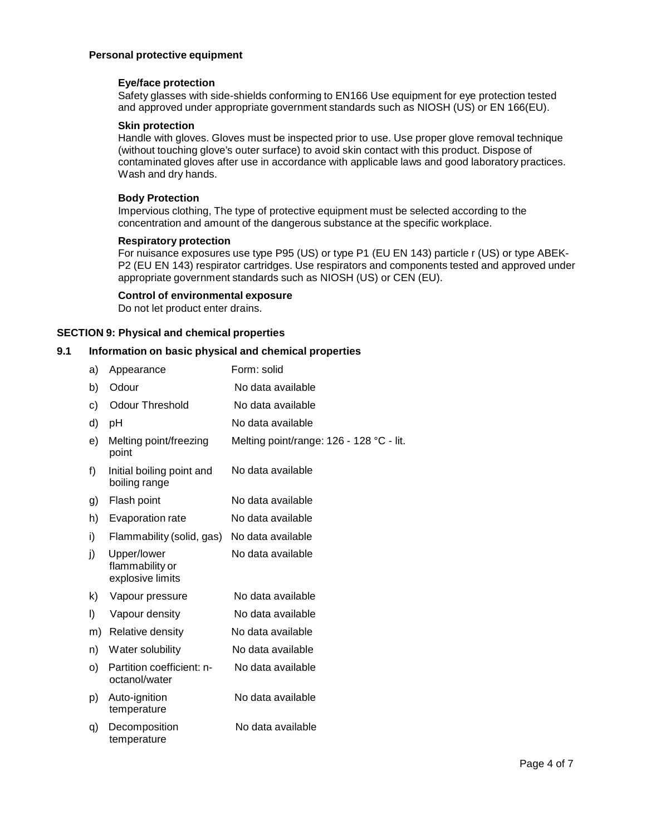# **Personal protective equipment**

# **Eye/face protection**

Safety glasses with side-shields conforming to EN166 Use equipment for eye protection tested and approved under appropriate government standards such as NIOSH (US) or EN 166(EU).

#### **Skin protection**

Handle with gloves. Gloves must be inspected prior to use. Use proper glove removal technique (without touching glove's outer surface) to avoid skin contact with this product. Dispose of contaminated gloves after use in accordance with applicable laws and good laboratory practices. Wash and dry hands.

# **Body Protection**

Impervious clothing, The type of protective equipment must be selected according to the concentration and amount of the dangerous substance at the specific workplace.

#### **Respiratory protection**

For nuisance exposures use type P95 (US) or type P1 (EU EN 143) particle r (US) or type ABEK- P2 (EU EN 143) respirator cartridges. Use respirators and components tested and approved under appropriate government standards such as NIOSH (US) or CEN (EU).

# **Control of environmental exposure**

Do not let product enter drains.

# **SECTION 9: Physical and chemical properties**

# **9.1 Information on basic physical and chemical properties**

| a) | Appearance                                         | Form: solid                              |
|----|----------------------------------------------------|------------------------------------------|
| b) | Odour                                              | No data available                        |
| c) | <b>Odour Threshold</b>                             | No data available                        |
| d) | рH                                                 | No data available                        |
| e) | Melting point/freezing<br>point                    | Melting point/range: 126 - 128 °C - lit. |
| f) | Initial boiling point and<br>boiling range         | No data available                        |
| g) | Flash point                                        | No data available                        |
| h) | Evaporation rate                                   | No data available                        |
| i) | Flammability (solid, gas)                          | No data available                        |
| j) | Upper/lower<br>flammability or<br>explosive limits | No data available                        |
| k) | Vapour pressure                                    | No data available                        |
| I) | Vapour density                                     | No data available                        |
| m) | Relative density                                   | No data available                        |
| n) | Water solubility                                   | No data available                        |
| O) | Partition coefficient: n-<br>octanol/water         | No data available                        |
| p) | Auto-ignition<br>temperature                       | No data available                        |
| q) | Decomposition<br>temperature                       | No data available                        |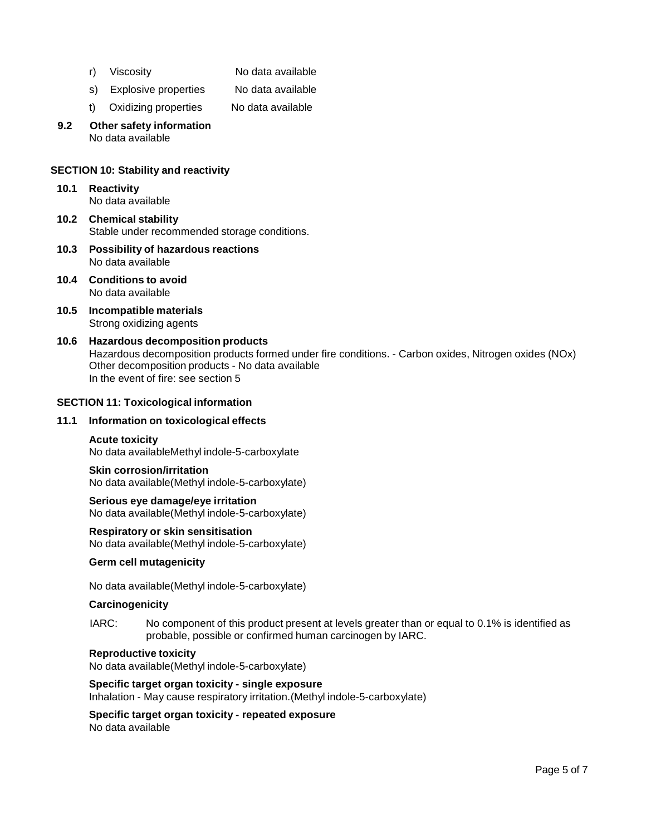- r) Viscosity No data available
- s) Explosive properties No data available
- t) Oxidizing properties No data available
- **9.2 Other safety information** No data available

# **SECTION 10: Stability and reactivity**

- **10.1 Reactivity** No data available
- **10.2 Chemical stability** Stable under recommended storage conditions.
- **10.3 Possibility of hazardous reactions** No data available
- **10.4 Conditions to avoid** No data available
- **10.5 Incompatible materials** Strong oxidizing agents
- **10.6 Hazardous decomposition products** Hazardous decomposition products formed under fire conditions. - Carbon oxides, Nitrogen oxides (NOx) Other decomposition products - No data available In the event of fire: see section 5

# **SECTION 11: Toxicological information**

#### **11.1 Information on toxicological effects**

#### **Acute toxicity**

No data availableMethyl indole-5-carboxylate

**Skin corrosion/irritation** No data available(Methyl indole-5-carboxylate)

# **Serious eye damage/eye irritation**

No data available(Methyl indole-5-carboxylate)

#### **Respiratory orskin sensitisation**

No data available(Methyl indole-5-carboxylate)

#### **Germ cell mutagenicity**

No data available(Methyl indole-5-carboxylate)

#### **Carcinogenicity**

IARC: No component of this product present at levels greater than or equal to 0.1% is identified as probable, possible or confirmed human carcinogen by IARC.

#### **Reproductive toxicity**

No data available(Methyl indole-5-carboxylate)

**Specific target organ toxicity - single exposure** Inhalation - May cause respiratory irritation.(Methyl indole-5-carboxylate)

**Specific target organ toxicity - repeated exposure** No data available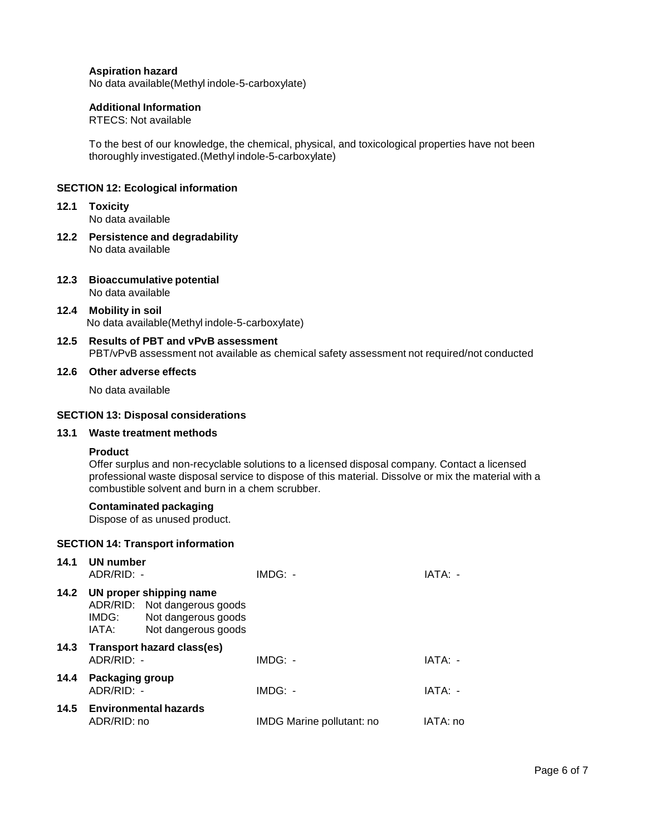#### **Aspiration hazard**

No data available(Methyl indole-5-carboxylate)

#### **Additional Information**

RTECS: Not available

To the best of our knowledge, the chemical, physical, and toxicological properties have not been thoroughly investigated.(Methyl indole-5-carboxylate)

#### **SECTION 12: Ecological information**

**12.1 Toxicity**

No data available

- **12.2 Persistence and degradability** No data available
- **12.3 Bioaccumulative potential**

No data available

- **12.4 Mobility in soil** No data available(Methyl indole-5-carboxylate)
- **12.5 Results of PBT and vPvB assessment** PBT/vPvB assessment not available as chemical safety assessment not required/not conducted

#### **12.6 Other adverse effects**

No data available

#### **SECTION 13: Disposal considerations**

# **13.1 Waste treatment methods**

# **Product**

Offer surplus and non-recyclable solutions to a licensed disposal company. Contact a licensed professional waste disposal service to dispose of this material. Dissolve or mix the material with a combustible solvent and burn in a chem scrubber.

#### **Contaminated packaging**

Dispose of as unused product.

#### **SECTION 14: Transport information**

| 14.1 | UN number<br>$ADR/RID: -$              |                                                                                                            | $IMDG: -$                 | IATA: -  |
|------|----------------------------------------|------------------------------------------------------------------------------------------------------------|---------------------------|----------|
|      | IMDG:<br>IATA:                         | 14.2 UN proper shipping name<br>ADR/RID: Not dangerous goods<br>Not dangerous goods<br>Not dangerous goods |                           |          |
|      | $ADR/RID: -$                           | 14.3 Transport hazard class(es)                                                                            | $IMDG: -$                 | IATA: -  |
| 14.4 | <b>Packaging group</b><br>$ADR/RID: -$ |                                                                                                            | $IMDG: -$                 | IATA: -  |
|      | ADR/RID: no                            | 14.5 Environmental hazards                                                                                 | IMDG Marine pollutant: no | IATA: no |